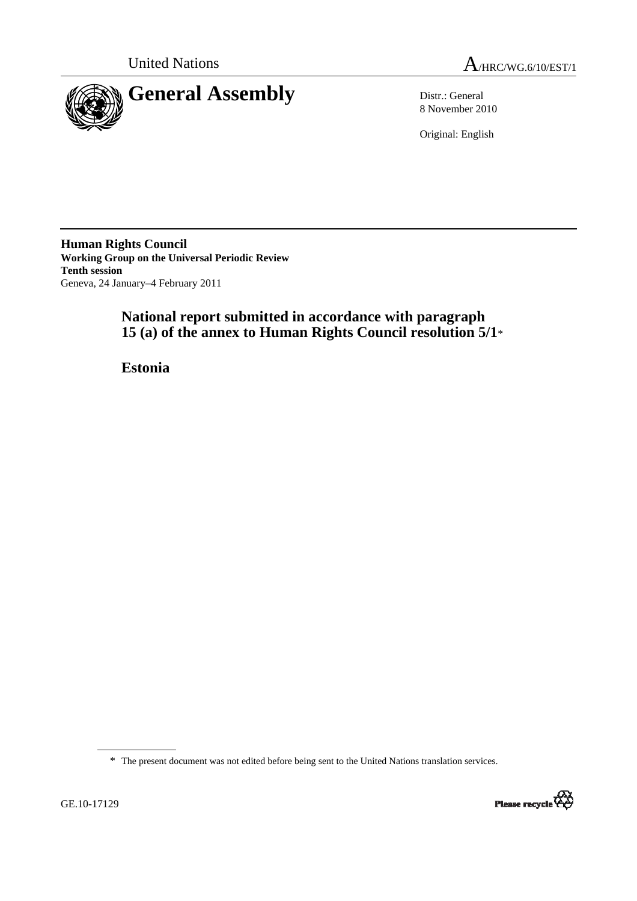



8 November 2010

Original: English

**Human Rights Council Working Group on the Universal Periodic Review Tenth session**  Geneva, 24 January–4 February 2011

# **National report submitted in accordance with paragraph 15 (a) of the annex to Human Rights Council resolution 5/1**\*

 **Estonia** 

\* The present document was not edited before being sent to the United Nations translation services.

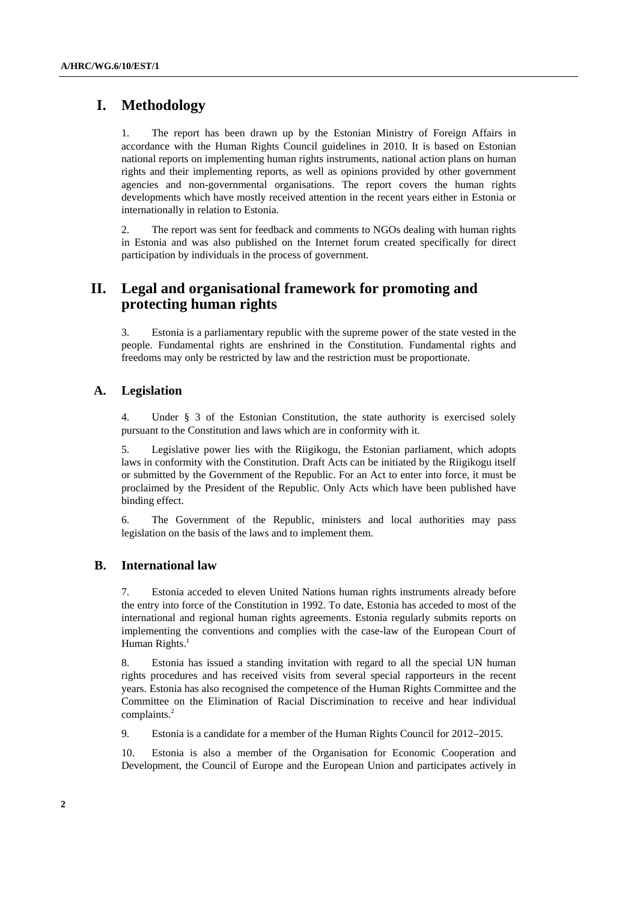## **I. Methodology**

1. The report has been drawn up by the Estonian Ministry of Foreign Affairs in accordance with the Human Rights Council guidelines in 2010. It is based on Estonian national reports on implementing human rights instruments, national action plans on human rights and their implementing reports, as well as opinions provided by other government agencies and non-governmental organisations. The report covers the human rights developments which have mostly received attention in the recent years either in Estonia or internationally in relation to Estonia.

2. The report was sent for feedback and comments to NGOs dealing with human rights in Estonia and was also published on the Internet forum created specifically for direct participation by individuals in the process of government.

## **II. Legal and organisational framework for promoting and protecting human rights**

3. Estonia is a parliamentary republic with the supreme power of the state vested in the people. Fundamental rights are enshrined in the Constitution. Fundamental rights and freedoms may only be restricted by law and the restriction must be proportionate.

### **A. Legislation**

4. Under § 3 of the Estonian Constitution, the state authority is exercised solely pursuant to the Constitution and laws which are in conformity with it.

5. Legislative power lies with the Riigikogu, the Estonian parliament, which adopts laws in conformity with the Constitution. Draft Acts can be initiated by the Riigikogu itself or submitted by the Government of the Republic. For an Act to enter into force, it must be proclaimed by the President of the Republic. Only Acts which have been published have binding effect.

6. The Government of the Republic, ministers and local authorities may pass legislation on the basis of the laws and to implement them.

### **B. International law**

7. Estonia acceded to eleven United Nations human rights instruments already before the entry into force of the Constitution in 1992. To date, Estonia has acceded to most of the international and regional human rights agreements. Estonia regularly submits reports on implementing the conventions and complies with the case-law of the European Court of Human Rights.<sup>1</sup>

8. Estonia has issued a standing invitation with regard to all the special UN human rights procedures and has received visits from several special rapporteurs in the recent years. Estonia has also recognised the competence of the Human Rights Committee and the Committee on the Elimination of Racial Discrimination to receive and hear individual complaints.<sup>2</sup>

9. Estonia is a candidate for a member of the Human Rights Council for 2012−2015.

10. Estonia is also a member of the Organisation for Economic Cooperation and Development, the Council of Europe and the European Union and participates actively in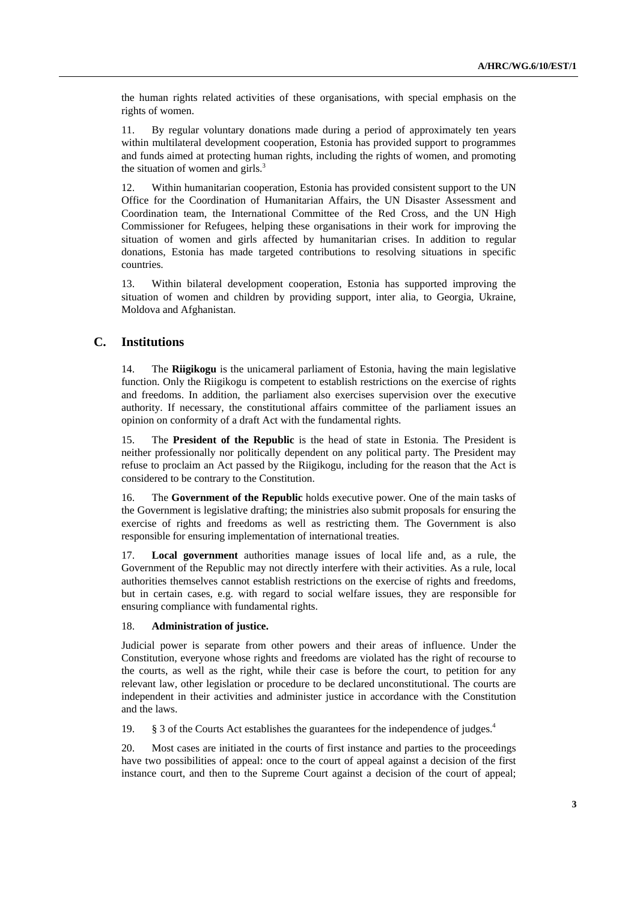the human rights related activities of these organisations, with special emphasis on the rights of women.

11. By regular voluntary donations made during a period of approximately ten years within multilateral development cooperation, Estonia has provided support to programmes and funds aimed at protecting human rights, including the rights of women, and promoting the situation of women and girls. $3$ 

12. Within humanitarian cooperation, Estonia has provided consistent support to the UN Office for the Coordination of Humanitarian Affairs, the UN Disaster Assessment and Coordination team, the International Committee of the Red Cross, and the UN High Commissioner for Refugees, helping these organisations in their work for improving the situation of women and girls affected by humanitarian crises. In addition to regular donations, Estonia has made targeted contributions to resolving situations in specific countries.

13. Within bilateral development cooperation, Estonia has supported improving the situation of women and children by providing support, inter alia, to Georgia, Ukraine, Moldova and Afghanistan.

#### **C. Institutions**

14. The **Riigikogu** is the unicameral parliament of Estonia, having the main legislative function. Only the Riigikogu is competent to establish restrictions on the exercise of rights and freedoms. In addition, the parliament also exercises supervision over the executive authority. If necessary, the constitutional affairs committee of the parliament issues an opinion on conformity of a draft Act with the fundamental rights.

15. The **President of the Republic** is the head of state in Estonia. The President is neither professionally nor politically dependent on any political party. The President may refuse to proclaim an Act passed by the Riigikogu, including for the reason that the Act is considered to be contrary to the Constitution.

16. The **Government of the Republic** holds executive power. One of the main tasks of the Government is legislative drafting; the ministries also submit proposals for ensuring the exercise of rights and freedoms as well as restricting them. The Government is also responsible for ensuring implementation of international treaties.

17. **Local government** authorities manage issues of local life and, as a rule, the Government of the Republic may not directly interfere with their activities. As a rule, local authorities themselves cannot establish restrictions on the exercise of rights and freedoms, but in certain cases, e.g. with regard to social welfare issues, they are responsible for ensuring compliance with fundamental rights.

#### 18. **Administration of justice.**

Judicial power is separate from other powers and their areas of influence. Under the Constitution, everyone whose rights and freedoms are violated has the right of recourse to the courts, as well as the right, while their case is before the court, to petition for any relevant law, other legislation or procedure to be declared unconstitutional. The courts are independent in their activities and administer justice in accordance with the Constitution and the laws.

19. § 3 of the Courts Act establishes the guarantees for the independence of judges.<sup>4</sup>

20. Most cases are initiated in the courts of first instance and parties to the proceedings have two possibilities of appeal: once to the court of appeal against a decision of the first instance court, and then to the Supreme Court against a decision of the court of appeal;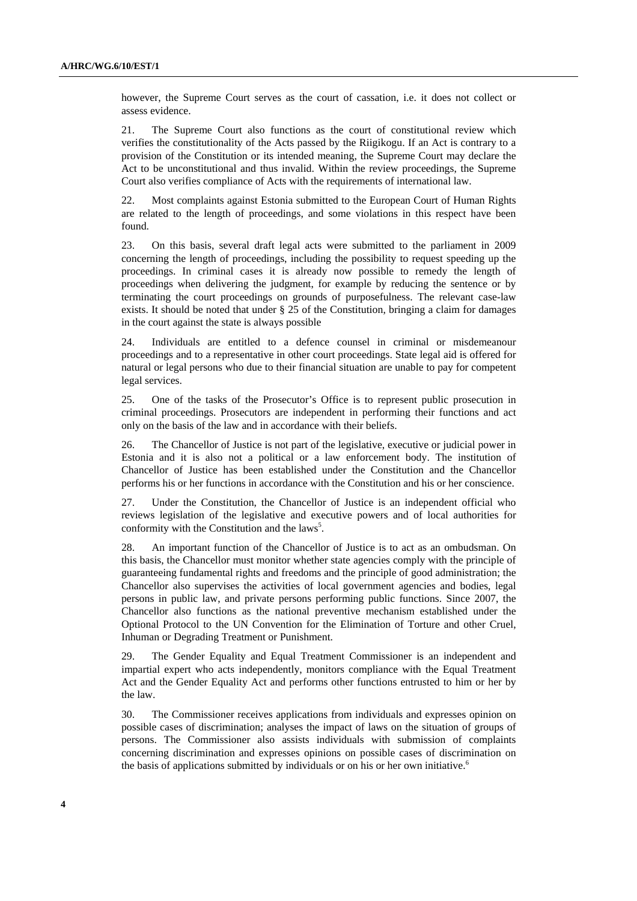however, the Supreme Court serves as the court of cassation, i.e. it does not collect or assess evidence.

21. The Supreme Court also functions as the court of constitutional review which verifies the constitutionality of the Acts passed by the Riigikogu. If an Act is contrary to a provision of the Constitution or its intended meaning, the Supreme Court may declare the Act to be unconstitutional and thus invalid. Within the review proceedings, the Supreme Court also verifies compliance of Acts with the requirements of international law.

22. Most complaints against Estonia submitted to the European Court of Human Rights are related to the length of proceedings, and some violations in this respect have been found.

23. On this basis, several draft legal acts were submitted to the parliament in 2009 concerning the length of proceedings, including the possibility to request speeding up the proceedings. In criminal cases it is already now possible to remedy the length of proceedings when delivering the judgment, for example by reducing the sentence or by terminating the court proceedings on grounds of purposefulness. The relevant case-law exists. It should be noted that under § 25 of the Constitution, bringing a claim for damages in the court against the state is always possible

24. Individuals are entitled to a defence counsel in criminal or misdemeanour proceedings and to a representative in other court proceedings. State legal aid is offered for natural or legal persons who due to their financial situation are unable to pay for competent legal services.

25. One of the tasks of the Prosecutor's Office is to represent public prosecution in criminal proceedings. Prosecutors are independent in performing their functions and act only on the basis of the law and in accordance with their beliefs.

26. The Chancellor of Justice is not part of the legislative, executive or judicial power in Estonia and it is also not a political or a law enforcement body. The institution of Chancellor of Justice has been established under the Constitution and the Chancellor performs his or her functions in accordance with the Constitution and his or her conscience.

27. Under the Constitution, the Chancellor of Justice is an independent official who reviews legislation of the legislative and executive powers and of local authorities for conformity with the Constitution and the laws<sup>5</sup>.

28. An important function of the Chancellor of Justice is to act as an ombudsman. On this basis, the Chancellor must monitor whether state agencies comply with the principle of guaranteeing fundamental rights and freedoms and the principle of good administration; the Chancellor also supervises the activities of local government agencies and bodies, legal persons in public law, and private persons performing public functions. Since 2007, the Chancellor also functions as the national preventive mechanism established under the Optional Protocol to the UN Convention for the Elimination of Torture and other Cruel, Inhuman or Degrading Treatment or Punishment.

29. The Gender Equality and Equal Treatment Commissioner is an independent and impartial expert who acts independently, monitors compliance with the Equal Treatment Act and the Gender Equality Act and performs other functions entrusted to him or her by the law.

30. The Commissioner receives applications from individuals and expresses opinion on possible cases of discrimination; analyses the impact of laws on the situation of groups of persons. The Commissioner also assists individuals with submission of complaints concerning discrimination and expresses opinions on possible cases of discrimination on the basis of applications submitted by individuals or on his or her own initiative.<sup>6</sup>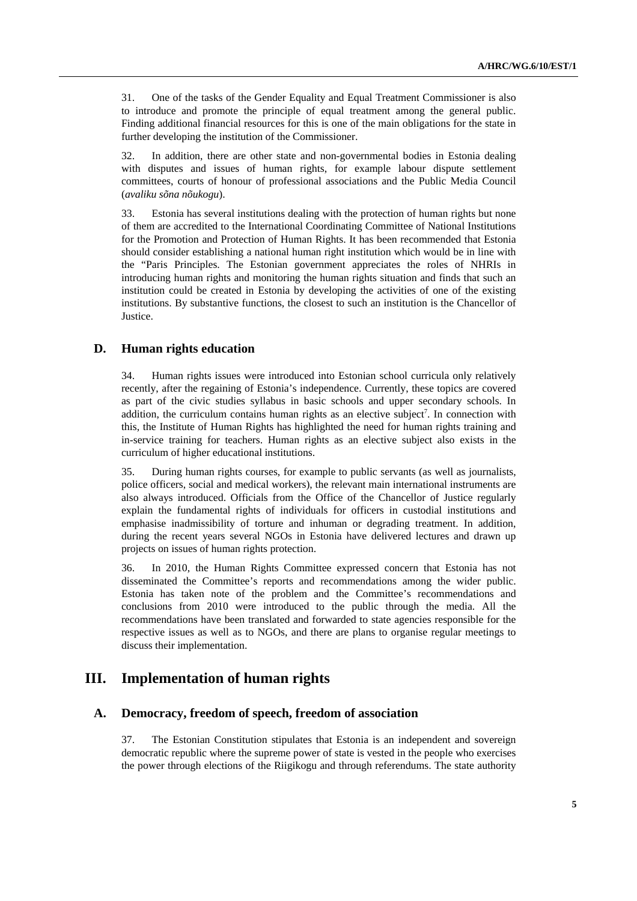31. One of the tasks of the Gender Equality and Equal Treatment Commissioner is also to introduce and promote the principle of equal treatment among the general public. Finding additional financial resources for this is one of the main obligations for the state in further developing the institution of the Commissioner.

32. In addition, there are other state and non-governmental bodies in Estonia dealing with disputes and issues of human rights, for example labour dispute settlement committees, courts of honour of professional associations and the Public Media Council (*avaliku sõna nõukogu*).

33. Estonia has several institutions dealing with the protection of human rights but none of them are accredited to the International Coordinating Committee of National Institutions for the Promotion and Protection of Human Rights. It has been recommended that Estonia should consider establishing a national human right institution which would be in line with the "Paris Principles. The Estonian government appreciates the roles of NHRIs in introducing human rights and monitoring the human rights situation and finds that such an institution could be created in Estonia by developing the activities of one of the existing institutions. By substantive functions, the closest to such an institution is the Chancellor of Justice.

### **D. Human rights education**

34. Human rights issues were introduced into Estonian school curricula only relatively recently, after the regaining of Estonia's independence. Currently, these topics are covered as part of the civic studies syllabus in basic schools and upper secondary schools. In addition, the curriculum contains human rights as an elective subject<sup>7</sup>. In connection with this, the Institute of Human Rights has highlighted the need for human rights training and in-service training for teachers. Human rights as an elective subject also exists in the curriculum of higher educational institutions.

35. During human rights courses, for example to public servants (as well as journalists, police officers, social and medical workers), the relevant main international instruments are also always introduced. Officials from the Office of the Chancellor of Justice regularly explain the fundamental rights of individuals for officers in custodial institutions and emphasise inadmissibility of torture and inhuman or degrading treatment. In addition, during the recent years several NGOs in Estonia have delivered lectures and drawn up projects on issues of human rights protection.

36. In 2010, the Human Rights Committee expressed concern that Estonia has not disseminated the Committee's reports and recommendations among the wider public. Estonia has taken note of the problem and the Committee's recommendations and conclusions from 2010 were introduced to the public through the media. All the recommendations have been translated and forwarded to state agencies responsible for the respective issues as well as to NGOs, and there are plans to organise regular meetings to discuss their implementation.

## **III. Implementation of human rights**

### **A. Democracy, freedom of speech, freedom of association**

37. The Estonian Constitution stipulates that Estonia is an independent and sovereign democratic republic where the supreme power of state is vested in the people who exercises the power through elections of the Riigikogu and through referendums. The state authority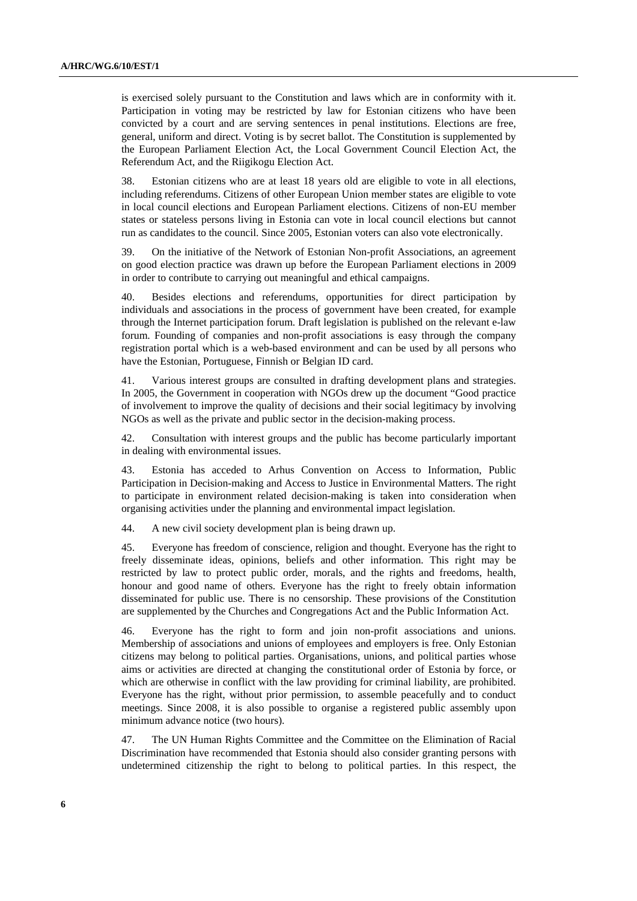is exercised solely pursuant to the Constitution and laws which are in conformity with it. Participation in voting may be restricted by law for Estonian citizens who have been convicted by a court and are serving sentences in penal institutions. Elections are free, general, uniform and direct. Voting is by secret ballot. The Constitution is supplemented by the European Parliament Election Act, the Local Government Council Election Act, the Referendum Act, and the Riigikogu Election Act.

38. Estonian citizens who are at least 18 years old are eligible to vote in all elections, including referendums. Citizens of other European Union member states are eligible to vote in local council elections and European Parliament elections. Citizens of non-EU member states or stateless persons living in Estonia can vote in local council elections but cannot run as candidates to the council. Since 2005, Estonian voters can also vote electronically.

39. On the initiative of the Network of Estonian Non-profit Associations, an agreement on good election practice was drawn up before the European Parliament elections in 2009 in order to contribute to carrying out meaningful and ethical campaigns.

40. Besides elections and referendums, opportunities for direct participation by individuals and associations in the process of government have been created, for example through the Internet participation forum. Draft legislation is published on the relevant e-law forum. Founding of companies and non-profit associations is easy through the company registration portal which is a web-based environment and can be used by all persons who have the Estonian, Portuguese, Finnish or Belgian ID card.

41. Various interest groups are consulted in drafting development plans and strategies. In 2005, the Government in cooperation with NGOs drew up the document "Good practice of involvement to improve the quality of decisions and their social legitimacy by involving NGOs as well as the private and public sector in the decision-making process.

42. Consultation with interest groups and the public has become particularly important in dealing with environmental issues.

43. Estonia has acceded to Arhus Convention on Access to Information, Public Participation in Decision-making and Access to Justice in Environmental Matters. The right to participate in environment related decision-making is taken into consideration when organising activities under the planning and environmental impact legislation.

44. A new civil society development plan is being drawn up.

45. Everyone has freedom of conscience, religion and thought. Everyone has the right to freely disseminate ideas, opinions, beliefs and other information. This right may be restricted by law to protect public order, morals, and the rights and freedoms, health, honour and good name of others. Everyone has the right to freely obtain information disseminated for public use. There is no censorship. These provisions of the Constitution are supplemented by the Churches and Congregations Act and the Public Information Act.

46. Everyone has the right to form and join non-profit associations and unions. Membership of associations and unions of employees and employers is free. Only Estonian citizens may belong to political parties. Organisations, unions, and political parties whose aims or activities are directed at changing the constitutional order of Estonia by force, or which are otherwise in conflict with the law providing for criminal liability, are prohibited. Everyone has the right, without prior permission, to assemble peacefully and to conduct meetings. Since 2008, it is also possible to organise a registered public assembly upon minimum advance notice (two hours).

47. The UN Human Rights Committee and the Committee on the Elimination of Racial Discrimination have recommended that Estonia should also consider granting persons with undetermined citizenship the right to belong to political parties. In this respect, the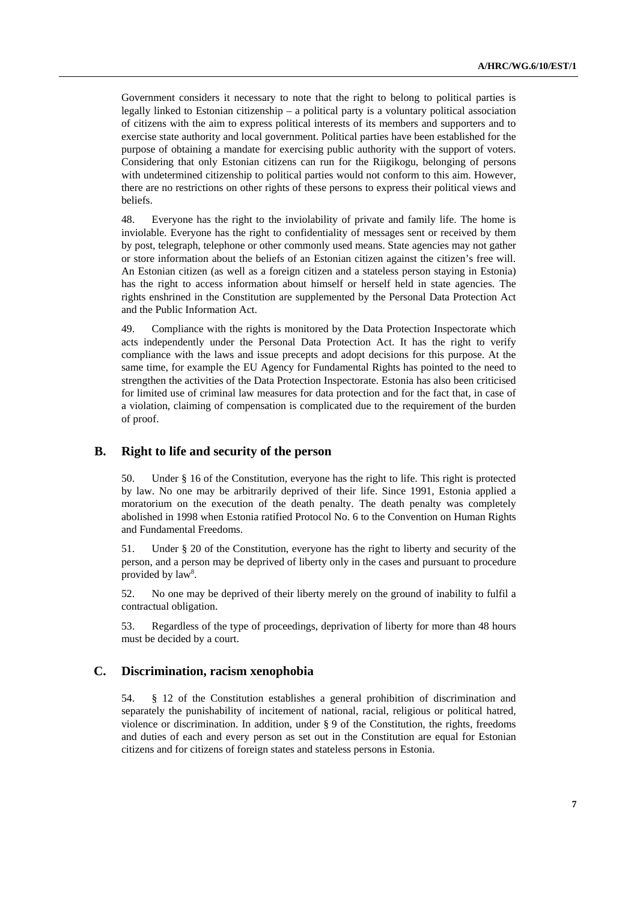Government considers it necessary to note that the right to belong to political parties is legally linked to Estonian citizenship – a political party is a voluntary political association of citizens with the aim to express political interests of its members and supporters and to exercise state authority and local government. Political parties have been established for the purpose of obtaining a mandate for exercising public authority with the support of voters. Considering that only Estonian citizens can run for the Riigikogu, belonging of persons with undetermined citizenship to political parties would not conform to this aim. However, there are no restrictions on other rights of these persons to express their political views and beliefs.

48. Everyone has the right to the inviolability of private and family life. The home is inviolable. Everyone has the right to confidentiality of messages sent or received by them by post, telegraph, telephone or other commonly used means. State agencies may not gather or store information about the beliefs of an Estonian citizen against the citizen's free will. An Estonian citizen (as well as a foreign citizen and a stateless person staying in Estonia) has the right to access information about himself or herself held in state agencies. The rights enshrined in the Constitution are supplemented by the Personal Data Protection Act and the Public Information Act.

49. Compliance with the rights is monitored by the Data Protection Inspectorate which acts independently under the Personal Data Protection Act. It has the right to verify compliance with the laws and issue precepts and adopt decisions for this purpose. At the same time, for example the EU Agency for Fundamental Rights has pointed to the need to strengthen the activities of the Data Protection Inspectorate. Estonia has also been criticised for limited use of criminal law measures for data protection and for the fact that, in case of a violation, claiming of compensation is complicated due to the requirement of the burden of proof.

#### **B. Right to life and security of the person**

50. Under § 16 of the Constitution, everyone has the right to life. This right is protected by law. No one may be arbitrarily deprived of their life. Since 1991, Estonia applied a moratorium on the execution of the death penalty. The death penalty was completely abolished in 1998 when Estonia ratified Protocol No. 6 to the Convention on Human Rights and Fundamental Freedoms.

51. Under § 20 of the Constitution, everyone has the right to liberty and security of the person, and a person may be deprived of liberty only in the cases and pursuant to procedure provided by law<sup>8</sup>.

52. No one may be deprived of their liberty merely on the ground of inability to fulfil a contractual obligation.

53. Regardless of the type of proceedings, deprivation of liberty for more than 48 hours must be decided by a court.

#### **C. Discrimination, racism xenophobia**

54. § 12 of the Constitution establishes a general prohibition of discrimination and separately the punishability of incitement of national, racial, religious or political hatred, violence or discrimination. In addition, under § 9 of the Constitution, the rights, freedoms and duties of each and every person as set out in the Constitution are equal for Estonian citizens and for citizens of foreign states and stateless persons in Estonia.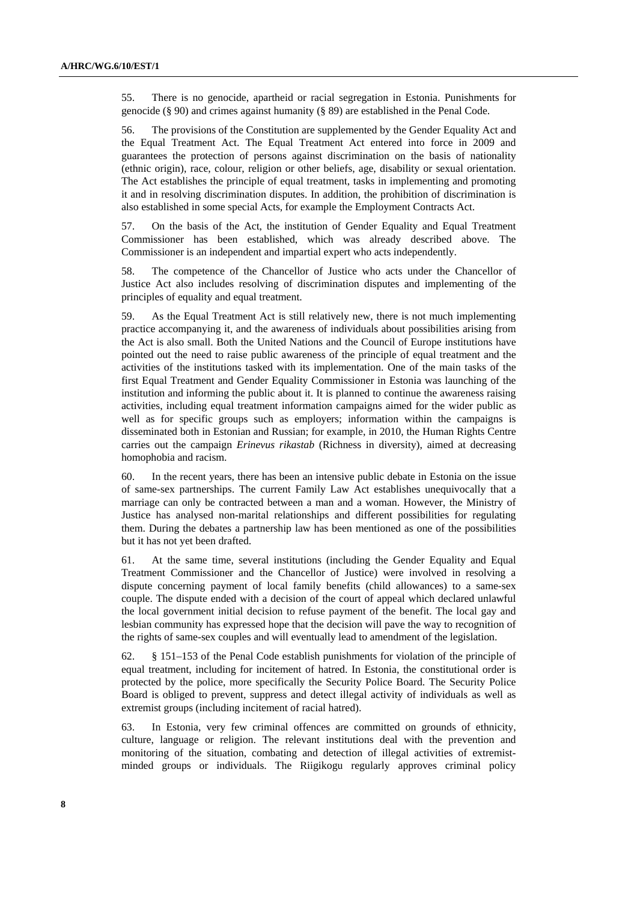55. There is no genocide, apartheid or racial segregation in Estonia. Punishments for genocide (§ 90) and crimes against humanity (§ 89) are established in the Penal Code.

56. The provisions of the Constitution are supplemented by the Gender Equality Act and the Equal Treatment Act. The Equal Treatment Act entered into force in 2009 and guarantees the protection of persons against discrimination on the basis of nationality (ethnic origin), race, colour, religion or other beliefs, age, disability or sexual orientation. The Act establishes the principle of equal treatment, tasks in implementing and promoting it and in resolving discrimination disputes. In addition, the prohibition of discrimination is also established in some special Acts, for example the Employment Contracts Act.

57. On the basis of the Act, the institution of Gender Equality and Equal Treatment Commissioner has been established, which was already described above. The Commissioner is an independent and impartial expert who acts independently.

58. The competence of the Chancellor of Justice who acts under the Chancellor of Justice Act also includes resolving of discrimination disputes and implementing of the principles of equality and equal treatment.

59. As the Equal Treatment Act is still relatively new, there is not much implementing practice accompanying it, and the awareness of individuals about possibilities arising from the Act is also small. Both the United Nations and the Council of Europe institutions have pointed out the need to raise public awareness of the principle of equal treatment and the activities of the institutions tasked with its implementation. One of the main tasks of the first Equal Treatment and Gender Equality Commissioner in Estonia was launching of the institution and informing the public about it. It is planned to continue the awareness raising activities, including equal treatment information campaigns aimed for the wider public as well as for specific groups such as employers; information within the campaigns is disseminated both in Estonian and Russian; for example, in 2010, the Human Rights Centre carries out the campaign *Erinevus rikastab* (Richness in diversity), aimed at decreasing homophobia and racism.

60. In the recent years, there has been an intensive public debate in Estonia on the issue of same-sex partnerships. The current Family Law Act establishes unequivocally that a marriage can only be contracted between a man and a woman. However, the Ministry of Justice has analysed non-marital relationships and different possibilities for regulating them. During the debates a partnership law has been mentioned as one of the possibilities but it has not yet been drafted.

61. At the same time, several institutions (including the Gender Equality and Equal Treatment Commissioner and the Chancellor of Justice) were involved in resolving a dispute concerning payment of local family benefits (child allowances) to a same-sex couple. The dispute ended with a decision of the court of appeal which declared unlawful the local government initial decision to refuse payment of the benefit. The local gay and lesbian community has expressed hope that the decision will pave the way to recognition of the rights of same-sex couples and will eventually lead to amendment of the legislation.

62. § 151–153 of the Penal Code establish punishments for violation of the principle of equal treatment, including for incitement of hatred. In Estonia, the constitutional order is protected by the police, more specifically the Security Police Board. The Security Police Board is obliged to prevent, suppress and detect illegal activity of individuals as well as extremist groups (including incitement of racial hatred).

63. In Estonia, very few criminal offences are committed on grounds of ethnicity, culture, language or religion. The relevant institutions deal with the prevention and monitoring of the situation, combating and detection of illegal activities of extremistminded groups or individuals. The Riigikogu regularly approves criminal policy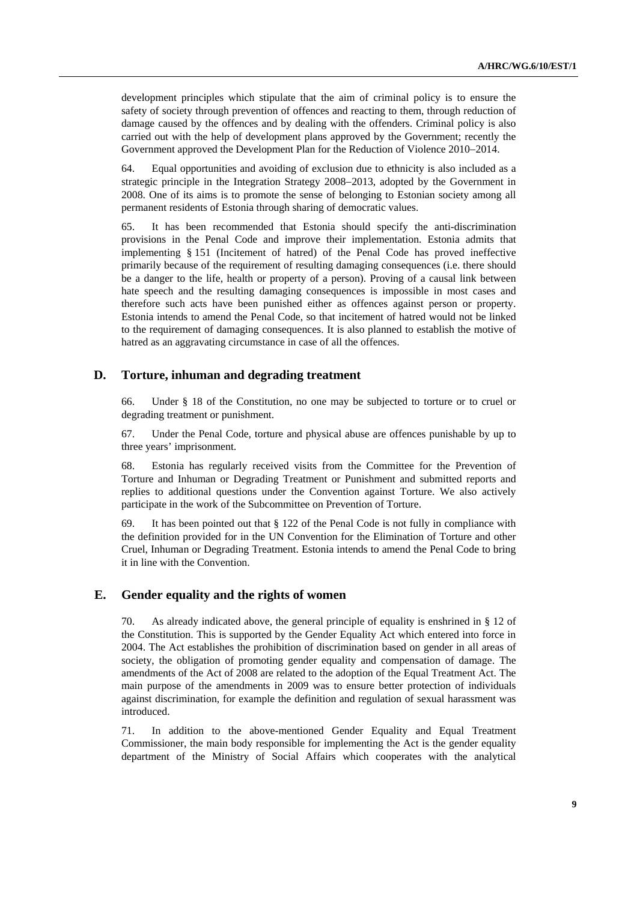development principles which stipulate that the aim of criminal policy is to ensure the safety of society through prevention of offences and reacting to them, through reduction of damage caused by the offences and by dealing with the offenders. Criminal policy is also carried out with the help of development plans approved by the Government; recently the Government approved the Development Plan for the Reduction of Violence 2010−2014.

64. Equal opportunities and avoiding of exclusion due to ethnicity is also included as a strategic principle in the Integration Strategy 2008−2013, adopted by the Government in 2008. One of its aims is to promote the sense of belonging to Estonian society among all permanent residents of Estonia through sharing of democratic values.

65. It has been recommended that Estonia should specify the anti-discrimination provisions in the Penal Code and improve their implementation. Estonia admits that implementing § 151 (Incitement of hatred) of the Penal Code has proved ineffective primarily because of the requirement of resulting damaging consequences (i.e. there should be a danger to the life, health or property of a person). Proving of a causal link between hate speech and the resulting damaging consequences is impossible in most cases and therefore such acts have been punished either as offences against person or property. Estonia intends to amend the Penal Code, so that incitement of hatred would not be linked to the requirement of damaging consequences. It is also planned to establish the motive of hatred as an aggravating circumstance in case of all the offences.

### **D. Torture, inhuman and degrading treatment**

66. Under § 18 of the Constitution, no one may be subjected to torture or to cruel or degrading treatment or punishment.

67. Under the Penal Code, torture and physical abuse are offences punishable by up to three years' imprisonment.

68. Estonia has regularly received visits from the Committee for the Prevention of Torture and Inhuman or Degrading Treatment or Punishment and submitted reports and replies to additional questions under the Convention against Torture. We also actively participate in the work of the Subcommittee on Prevention of Torture.

69. It has been pointed out that  $\S$  122 of the Penal Code is not fully in compliance with the definition provided for in the UN Convention for the Elimination of Torture and other Cruel, Inhuman or Degrading Treatment. Estonia intends to amend the Penal Code to bring it in line with the Convention.

### **E. Gender equality and the rights of women**

70. As already indicated above, the general principle of equality is enshrined in § 12 of the Constitution. This is supported by the Gender Equality Act which entered into force in 2004. The Act establishes the prohibition of discrimination based on gender in all areas of society, the obligation of promoting gender equality and compensation of damage. The amendments of the Act of 2008 are related to the adoption of the Equal Treatment Act. The main purpose of the amendments in 2009 was to ensure better protection of individuals against discrimination, for example the definition and regulation of sexual harassment was introduced.

71. In addition to the above-mentioned Gender Equality and Equal Treatment Commissioner, the main body responsible for implementing the Act is the gender equality department of the Ministry of Social Affairs which cooperates with the analytical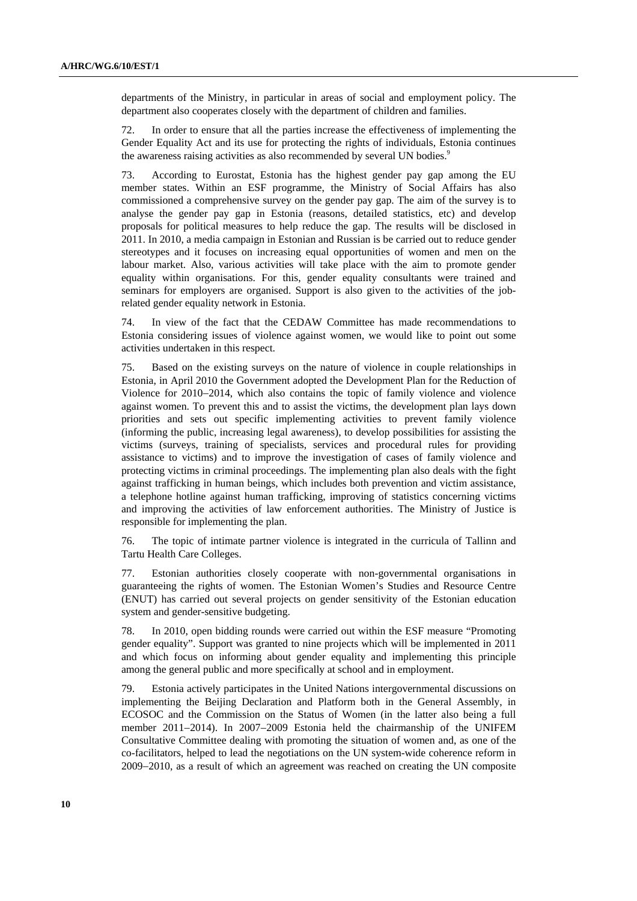departments of the Ministry, in particular in areas of social and employment policy. The department also cooperates closely with the department of children and families.

72. In order to ensure that all the parties increase the effectiveness of implementing the Gender Equality Act and its use for protecting the rights of individuals, Estonia continues the awareness raising activities as also recommended by several UN bodies.<sup>9</sup>

73. According to Eurostat, Estonia has the highest gender pay gap among the EU member states. Within an ESF programme, the Ministry of Social Affairs has also commissioned a comprehensive survey on the gender pay gap. The aim of the survey is to analyse the gender pay gap in Estonia (reasons, detailed statistics, etc) and develop proposals for political measures to help reduce the gap. The results will be disclosed in 2011. In 2010, a media campaign in Estonian and Russian is be carried out to reduce gender stereotypes and it focuses on increasing equal opportunities of women and men on the labour market. Also, various activities will take place with the aim to promote gender equality within organisations. For this, gender equality consultants were trained and seminars for employers are organised. Support is also given to the activities of the jobrelated gender equality network in Estonia.

74. In view of the fact that the CEDAW Committee has made recommendations to Estonia considering issues of violence against women, we would like to point out some activities undertaken in this respect.

75. Based on the existing surveys on the nature of violence in couple relationships in Estonia, in April 2010 the Government adopted the Development Plan for the Reduction of Violence for 2010−2014, which also contains the topic of family violence and violence against women. To prevent this and to assist the victims, the development plan lays down priorities and sets out specific implementing activities to prevent family violence (informing the public, increasing legal awareness), to develop possibilities for assisting the victims (surveys, training of specialists, services and procedural rules for providing assistance to victims) and to improve the investigation of cases of family violence and protecting victims in criminal proceedings. The implementing plan also deals with the fight against trafficking in human beings, which includes both prevention and victim assistance, a telephone hotline against human trafficking, improving of statistics concerning victims and improving the activities of law enforcement authorities. The Ministry of Justice is responsible for implementing the plan.

76. The topic of intimate partner violence is integrated in the curricula of Tallinn and Tartu Health Care Colleges.

77. Estonian authorities closely cooperate with non-governmental organisations in guaranteeing the rights of women. The Estonian Women's Studies and Resource Centre (ENUT) has carried out several projects on gender sensitivity of the Estonian education system and gender-sensitive budgeting.

78. In 2010, open bidding rounds were carried out within the ESF measure "Promoting gender equality". Support was granted to nine projects which will be implemented in 2011 and which focus on informing about gender equality and implementing this principle among the general public and more specifically at school and in employment.

79. Estonia actively participates in the United Nations intergovernmental discussions on implementing the Beijing Declaration and Platform both in the General Assembly, in ECOSOC and the Commission on the Status of Women (in the latter also being a full member 2011−2014). In 2007−2009 Estonia held the chairmanship of the UNIFEM Consultative Committee dealing with promoting the situation of women and, as one of the co-facilitators, helped to lead the negotiations on the UN system-wide coherence reform in 2009−2010, as a result of which an agreement was reached on creating the UN composite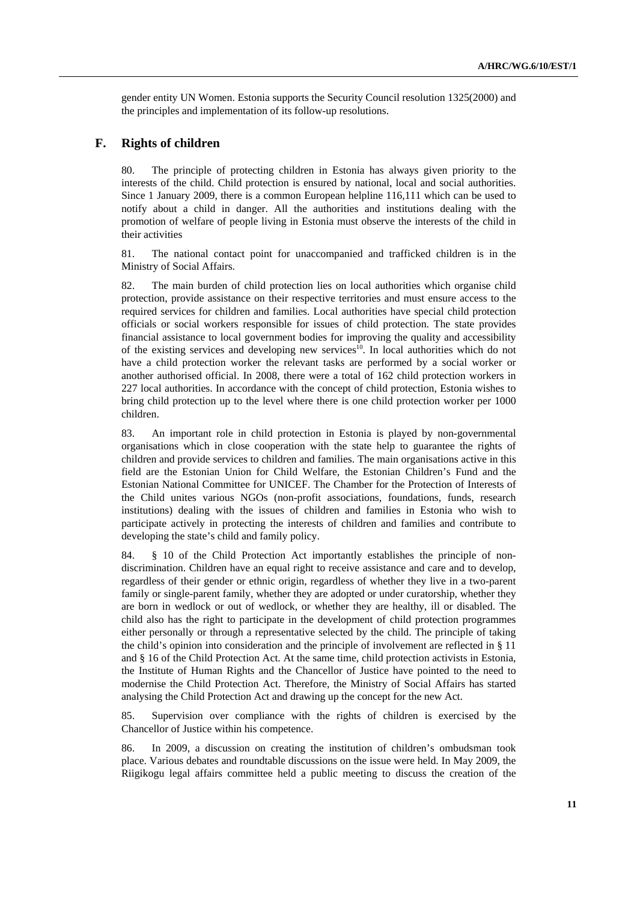gender entity UN Women. Estonia supports the Security Council resolution 1325(2000) and the principles and implementation of its follow-up resolutions.

#### **F. Rights of children**

80. The principle of protecting children in Estonia has always given priority to the interests of the child. Child protection is ensured by national, local and social authorities. Since 1 January 2009, there is a common European helpline 116,111 which can be used to notify about a child in danger. All the authorities and institutions dealing with the promotion of welfare of people living in Estonia must observe the interests of the child in their activities

81. The national contact point for unaccompanied and trafficked children is in the Ministry of Social Affairs.

82. The main burden of child protection lies on local authorities which organise child protection, provide assistance on their respective territories and must ensure access to the required services for children and families. Local authorities have special child protection officials or social workers responsible for issues of child protection. The state provides financial assistance to local government bodies for improving the quality and accessibility of the existing services and developing new services<sup>10</sup>. In local authorities which do not have a child protection worker the relevant tasks are performed by a social worker or another authorised official. In 2008, there were a total of 162 child protection workers in 227 local authorities. In accordance with the concept of child protection, Estonia wishes to bring child protection up to the level where there is one child protection worker per 1000 children.

83. An important role in child protection in Estonia is played by non-governmental organisations which in close cooperation with the state help to guarantee the rights of children and provide services to children and families. The main organisations active in this field are the Estonian Union for Child Welfare, the Estonian Children's Fund and the Estonian National Committee for UNICEF. The Chamber for the Protection of Interests of the Child unites various NGOs (non-profit associations, foundations, funds, research institutions) dealing with the issues of children and families in Estonia who wish to participate actively in protecting the interests of children and families and contribute to developing the state's child and family policy.

84. § 10 of the Child Protection Act importantly establishes the principle of nondiscrimination. Children have an equal right to receive assistance and care and to develop, regardless of their gender or ethnic origin, regardless of whether they live in a two-parent family or single-parent family, whether they are adopted or under curatorship, whether they are born in wedlock or out of wedlock, or whether they are healthy, ill or disabled. The child also has the right to participate in the development of child protection programmes either personally or through a representative selected by the child. The principle of taking the child's opinion into consideration and the principle of involvement are reflected in § 11 and § 16 of the Child Protection Act. At the same time, child protection activists in Estonia, the Institute of Human Rights and the Chancellor of Justice have pointed to the need to modernise the Child Protection Act. Therefore, the Ministry of Social Affairs has started analysing the Child Protection Act and drawing up the concept for the new Act.

85. Supervision over compliance with the rights of children is exercised by the Chancellor of Justice within his competence.

86. In 2009, a discussion on creating the institution of children's ombudsman took place. Various debates and roundtable discussions on the issue were held. In May 2009, the Riigikogu legal affairs committee held a public meeting to discuss the creation of the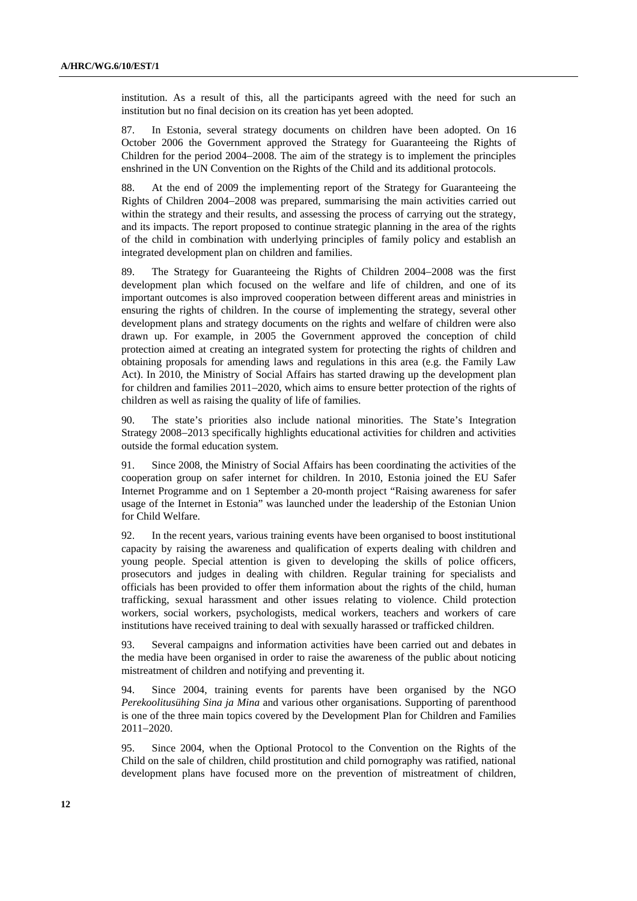institution. As a result of this, all the participants agreed with the need for such an institution but no final decision on its creation has yet been adopted.

87. In Estonia, several strategy documents on children have been adopted. On 16 October 2006 the Government approved the Strategy for Guaranteeing the Rights of Children for the period 2004−2008. The aim of the strategy is to implement the principles enshrined in the UN Convention on the Rights of the Child and its additional protocols.

88. At the end of 2009 the implementing report of the Strategy for Guaranteeing the Rights of Children 2004−2008 was prepared, summarising the main activities carried out within the strategy and their results, and assessing the process of carrying out the strategy, and its impacts. The report proposed to continue strategic planning in the area of the rights of the child in combination with underlying principles of family policy and establish an integrated development plan on children and families.

89. The Strategy for Guaranteeing the Rights of Children 2004−2008 was the first development plan which focused on the welfare and life of children, and one of its important outcomes is also improved cooperation between different areas and ministries in ensuring the rights of children. In the course of implementing the strategy, several other development plans and strategy documents on the rights and welfare of children were also drawn up. For example, in 2005 the Government approved the conception of child protection aimed at creating an integrated system for protecting the rights of children and obtaining proposals for amending laws and regulations in this area (e.g. the Family Law Act). In 2010, the Ministry of Social Affairs has started drawing up the development plan for children and families 2011−2020, which aims to ensure better protection of the rights of children as well as raising the quality of life of families.

90. The state's priorities also include national minorities. The State's Integration Strategy 2008−2013 specifically highlights educational activities for children and activities outside the formal education system.

91. Since 2008, the Ministry of Social Affairs has been coordinating the activities of the cooperation group on safer internet for children. In 2010, Estonia joined the EU Safer Internet Programme and on 1 September a 20-month project "Raising awareness for safer usage of the Internet in Estonia" was launched under the leadership of the Estonian Union for Child Welfare.

92. In the recent years, various training events have been organised to boost institutional capacity by raising the awareness and qualification of experts dealing with children and young people. Special attention is given to developing the skills of police officers, prosecutors and judges in dealing with children. Regular training for specialists and officials has been provided to offer them information about the rights of the child, human trafficking, sexual harassment and other issues relating to violence. Child protection workers, social workers, psychologists, medical workers, teachers and workers of care institutions have received training to deal with sexually harassed or trafficked children.

93. Several campaigns and information activities have been carried out and debates in the media have been organised in order to raise the awareness of the public about noticing mistreatment of children and notifying and preventing it.

94. Since 2004, training events for parents have been organised by the NGO *Perekoolitusühing Sina ja Mina* and various other organisations. Supporting of parenthood is one of the three main topics covered by the Development Plan for Children and Families 2011−2020.

95. Since 2004, when the Optional Protocol to the Convention on the Rights of the Child on the sale of children, child prostitution and child pornography was ratified, national development plans have focused more on the prevention of mistreatment of children,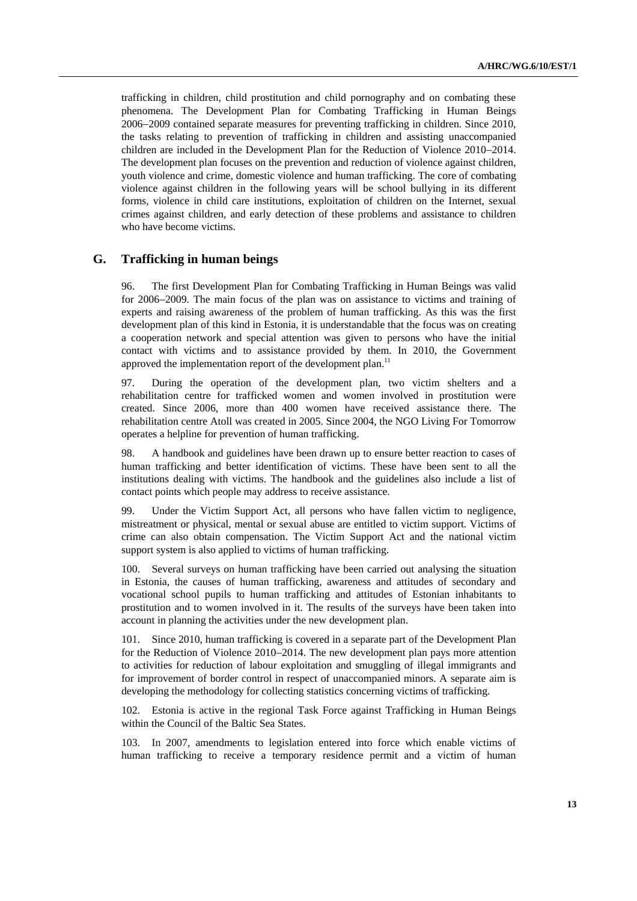trafficking in children, child prostitution and child pornography and on combating these phenomena. The Development Plan for Combating Trafficking in Human Beings 2006−2009 contained separate measures for preventing trafficking in children. Since 2010, the tasks relating to prevention of trafficking in children and assisting unaccompanied children are included in the Development Plan for the Reduction of Violence 2010−2014. The development plan focuses on the prevention and reduction of violence against children, youth violence and crime, domestic violence and human trafficking. The core of combating violence against children in the following years will be school bullying in its different forms, violence in child care institutions, exploitation of children on the Internet, sexual crimes against children, and early detection of these problems and assistance to children who have become victims.

#### **G. Trafficking in human beings**

96. The first Development Plan for Combating Trafficking in Human Beings was valid for 2006−2009. The main focus of the plan was on assistance to victims and training of experts and raising awareness of the problem of human trafficking. As this was the first development plan of this kind in Estonia, it is understandable that the focus was on creating a cooperation network and special attention was given to persons who have the initial contact with victims and to assistance provided by them. In 2010, the Government approved the implementation report of the development plan.<sup>11</sup>

97. During the operation of the development plan, two victim shelters and a rehabilitation centre for trafficked women and women involved in prostitution were created. Since 2006, more than 400 women have received assistance there. The rehabilitation centre Atoll was created in 2005. Since 2004, the NGO Living For Tomorrow operates a helpline for prevention of human trafficking.

98. A handbook and guidelines have been drawn up to ensure better reaction to cases of human trafficking and better identification of victims. These have been sent to all the institutions dealing with victims. The handbook and the guidelines also include a list of contact points which people may address to receive assistance.

99. Under the Victim Support Act, all persons who have fallen victim to negligence, mistreatment or physical, mental or sexual abuse are entitled to victim support. Victims of crime can also obtain compensation. The Victim Support Act and the national victim support system is also applied to victims of human trafficking.

100. Several surveys on human trafficking have been carried out analysing the situation in Estonia, the causes of human trafficking, awareness and attitudes of secondary and vocational school pupils to human trafficking and attitudes of Estonian inhabitants to prostitution and to women involved in it. The results of the surveys have been taken into account in planning the activities under the new development plan.

101. Since 2010, human trafficking is covered in a separate part of the Development Plan for the Reduction of Violence 2010−2014. The new development plan pays more attention to activities for reduction of labour exploitation and smuggling of illegal immigrants and for improvement of border control in respect of unaccompanied minors. A separate aim is developing the methodology for collecting statistics concerning victims of trafficking.

102. Estonia is active in the regional Task Force against Trafficking in Human Beings within the Council of the Baltic Sea States.

103. In 2007, amendments to legislation entered into force which enable victims of human trafficking to receive a temporary residence permit and a victim of human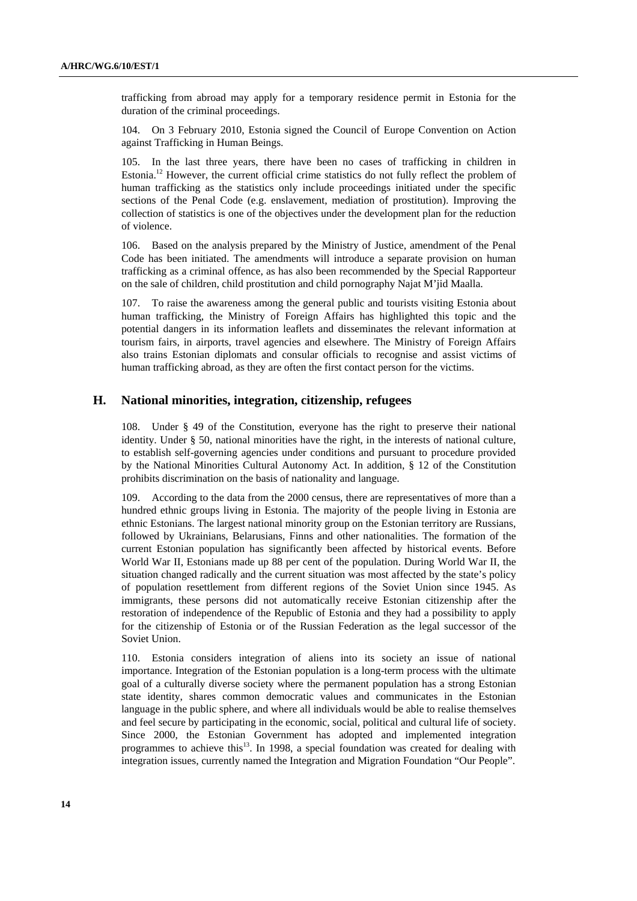trafficking from abroad may apply for a temporary residence permit in Estonia for the duration of the criminal proceedings.

104. On 3 February 2010, Estonia signed the Council of Europe Convention on Action against Trafficking in Human Beings.

105. In the last three years, there have been no cases of trafficking in children in Estonia.<sup>12</sup> However, the current official crime statistics do not fully reflect the problem of human trafficking as the statistics only include proceedings initiated under the specific sections of the Penal Code (e.g. enslavement, mediation of prostitution). Improving the collection of statistics is one of the objectives under the development plan for the reduction of violence.

106. Based on the analysis prepared by the Ministry of Justice, amendment of the Penal Code has been initiated. The amendments will introduce a separate provision on human trafficking as a criminal offence, as has also been recommended by the Special Rapporteur on the sale of children, child prostitution and child pornography Najat M'jid Maalla.

107. To raise the awareness among the general public and tourists visiting Estonia about human trafficking, the Ministry of Foreign Affairs has highlighted this topic and the potential dangers in its information leaflets and disseminates the relevant information at tourism fairs, in airports, travel agencies and elsewhere. The Ministry of Foreign Affairs also trains Estonian diplomats and consular officials to recognise and assist victims of human trafficking abroad, as they are often the first contact person for the victims.

### **H. National minorities, integration, citizenship, refugees**

108. Under § 49 of the Constitution, everyone has the right to preserve their national identity. Under § 50, national minorities have the right, in the interests of national culture, to establish self-governing agencies under conditions and pursuant to procedure provided by the National Minorities Cultural Autonomy Act. In addition, § 12 of the Constitution prohibits discrimination on the basis of nationality and language.

109. According to the data from the 2000 census, there are representatives of more than a hundred ethnic groups living in Estonia. The majority of the people living in Estonia are ethnic Estonians. The largest national minority group on the Estonian territory are Russians, followed by Ukrainians, Belarusians, Finns and other nationalities. The formation of the current Estonian population has significantly been affected by historical events. Before World War II, Estonians made up 88 per cent of the population. During World War II, the situation changed radically and the current situation was most affected by the state's policy of population resettlement from different regions of the Soviet Union since 1945. As immigrants, these persons did not automatically receive Estonian citizenship after the restoration of independence of the Republic of Estonia and they had a possibility to apply for the citizenship of Estonia or of the Russian Federation as the legal successor of the Soviet Union.

110. Estonia considers integration of aliens into its society an issue of national importance. Integration of the Estonian population is a long-term process with the ultimate goal of a culturally diverse society where the permanent population has a strong Estonian state identity, shares common democratic values and communicates in the Estonian language in the public sphere, and where all individuals would be able to realise themselves and feel secure by participating in the economic, social, political and cultural life of society. Since 2000, the Estonian Government has adopted and implemented integration programmes to achieve this<sup>13</sup>. In 1998, a special foundation was created for dealing with integration issues, currently named the Integration and Migration Foundation "Our People".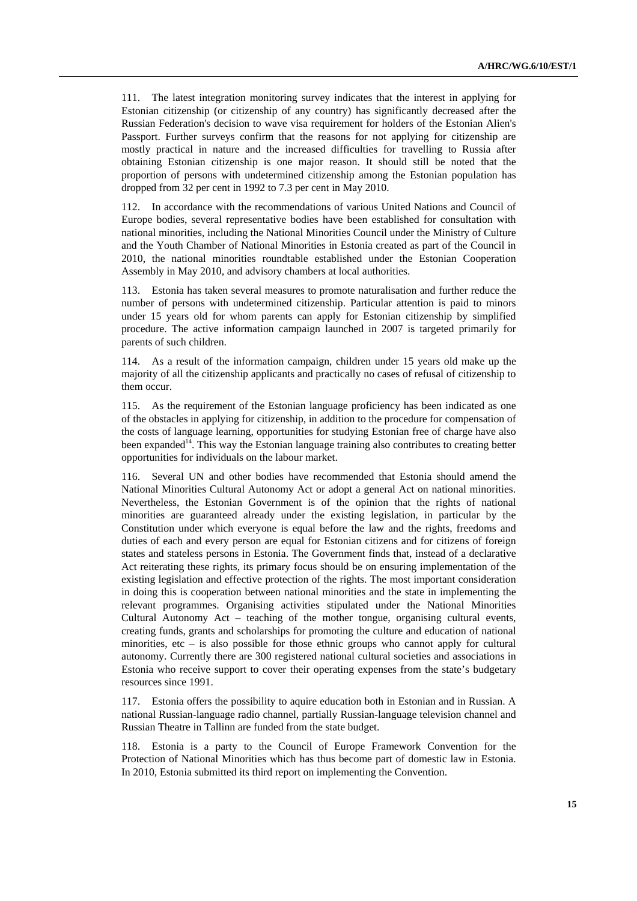111. The latest integration monitoring survey indicates that the interest in applying for Estonian citizenship (or citizenship of any country) has significantly decreased after the Russian Federation's decision to wave visa requirement for holders of the Estonian Alien's Passport. Further surveys confirm that the reasons for not applying for citizenship are mostly practical in nature and the increased difficulties for travelling to Russia after obtaining Estonian citizenship is one major reason. It should still be noted that the proportion of persons with undetermined citizenship among the Estonian population has dropped from 32 per cent in 1992 to 7.3 per cent in May 2010.

112. In accordance with the recommendations of various United Nations and Council of Europe bodies, several representative bodies have been established for consultation with national minorities, including the National Minorities Council under the Ministry of Culture and the Youth Chamber of National Minorities in Estonia created as part of the Council in 2010, the national minorities roundtable established under the Estonian Cooperation Assembly in May 2010, and advisory chambers at local authorities.

113. Estonia has taken several measures to promote naturalisation and further reduce the number of persons with undetermined citizenship. Particular attention is paid to minors under 15 years old for whom parents can apply for Estonian citizenship by simplified procedure. The active information campaign launched in 2007 is targeted primarily for parents of such children.

114. As a result of the information campaign, children under 15 years old make up the majority of all the citizenship applicants and practically no cases of refusal of citizenship to them occur.

115. As the requirement of the Estonian language proficiency has been indicated as one of the obstacles in applying for citizenship, in addition to the procedure for compensation of the costs of language learning, opportunities for studying Estonian free of charge have also been expanded<sup>14</sup>. This way the Estonian language training also contributes to creating better opportunities for individuals on the labour market.

116. Several UN and other bodies have recommended that Estonia should amend the National Minorities Cultural Autonomy Act or adopt a general Act on national minorities. Nevertheless, the Estonian Government is of the opinion that the rights of national minorities are guaranteed already under the existing legislation, in particular by the Constitution under which everyone is equal before the law and the rights, freedoms and duties of each and every person are equal for Estonian citizens and for citizens of foreign states and stateless persons in Estonia. The Government finds that, instead of a declarative Act reiterating these rights, its primary focus should be on ensuring implementation of the existing legislation and effective protection of the rights. The most important consideration in doing this is cooperation between national minorities and the state in implementing the relevant programmes. Organising activities stipulated under the National Minorities Cultural Autonomy Act – teaching of the mother tongue, organising cultural events, creating funds, grants and scholarships for promoting the culture and education of national minorities, etc – is also possible for those ethnic groups who cannot apply for cultural autonomy. Currently there are 300 registered national cultural societies and associations in Estonia who receive support to cover their operating expenses from the state's budgetary resources since 1991.

117. Estonia offers the possibility to aquire education both in Estonian and in Russian. A national Russian-language radio channel, partially Russian-language television channel and Russian Theatre in Tallinn are funded from the state budget.

118. Estonia is a party to the Council of Europe Framework Convention for the Protection of National Minorities which has thus become part of domestic law in Estonia. In 2010, Estonia submitted its third report on implementing the Convention.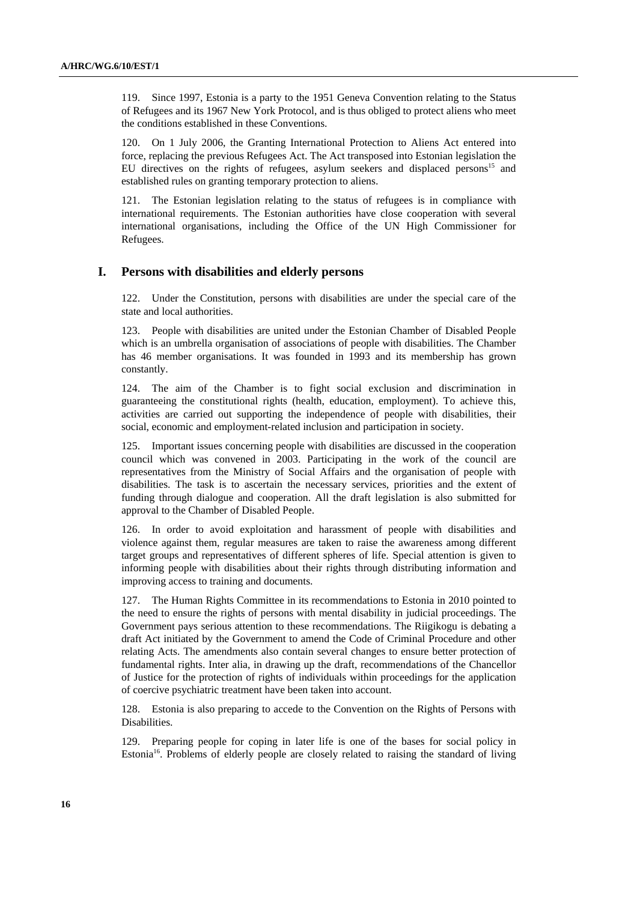119. Since 1997, Estonia is a party to the 1951 Geneva Convention relating to the Status of Refugees and its 1967 New York Protocol, and is thus obliged to protect aliens who meet the conditions established in these Conventions.

120. On 1 July 2006, the Granting International Protection to Aliens Act entered into force, replacing the previous Refugees Act. The Act transposed into Estonian legislation the EU directives on the rights of refugees, asylum seekers and displaced persons<sup>15</sup> and established rules on granting temporary protection to aliens.

121. The Estonian legislation relating to the status of refugees is in compliance with international requirements. The Estonian authorities have close cooperation with several international organisations, including the Office of the UN High Commissioner for Refugees.

#### **I. Persons with disabilities and elderly persons**

122. Under the Constitution, persons with disabilities are under the special care of the state and local authorities.

123. People with disabilities are united under the Estonian Chamber of Disabled People which is an umbrella organisation of associations of people with disabilities. The Chamber has 46 member organisations. It was founded in 1993 and its membership has grown constantly.

124. The aim of the Chamber is to fight social exclusion and discrimination in guaranteeing the constitutional rights (health, education, employment). To achieve this, activities are carried out supporting the independence of people with disabilities, their social, economic and employment-related inclusion and participation in society.

125. Important issues concerning people with disabilities are discussed in the cooperation council which was convened in 2003. Participating in the work of the council are representatives from the Ministry of Social Affairs and the organisation of people with disabilities. The task is to ascertain the necessary services, priorities and the extent of funding through dialogue and cooperation. All the draft legislation is also submitted for approval to the Chamber of Disabled People.

126. In order to avoid exploitation and harassment of people with disabilities and violence against them, regular measures are taken to raise the awareness among different target groups and representatives of different spheres of life. Special attention is given to informing people with disabilities about their rights through distributing information and improving access to training and documents.

127. The Human Rights Committee in its recommendations to Estonia in 2010 pointed to the need to ensure the rights of persons with mental disability in judicial proceedings. The Government pays serious attention to these recommendations. The Riigikogu is debating a draft Act initiated by the Government to amend the Code of Criminal Procedure and other relating Acts. The amendments also contain several changes to ensure better protection of fundamental rights. Inter alia, in drawing up the draft, recommendations of the Chancellor of Justice for the protection of rights of individuals within proceedings for the application of coercive psychiatric treatment have been taken into account.

128. Estonia is also preparing to accede to the Convention on the Rights of Persons with Disabilities.

129. Preparing people for coping in later life is one of the bases for social policy in Estonia<sup>16</sup>. Problems of elderly people are closely related to raising the standard of living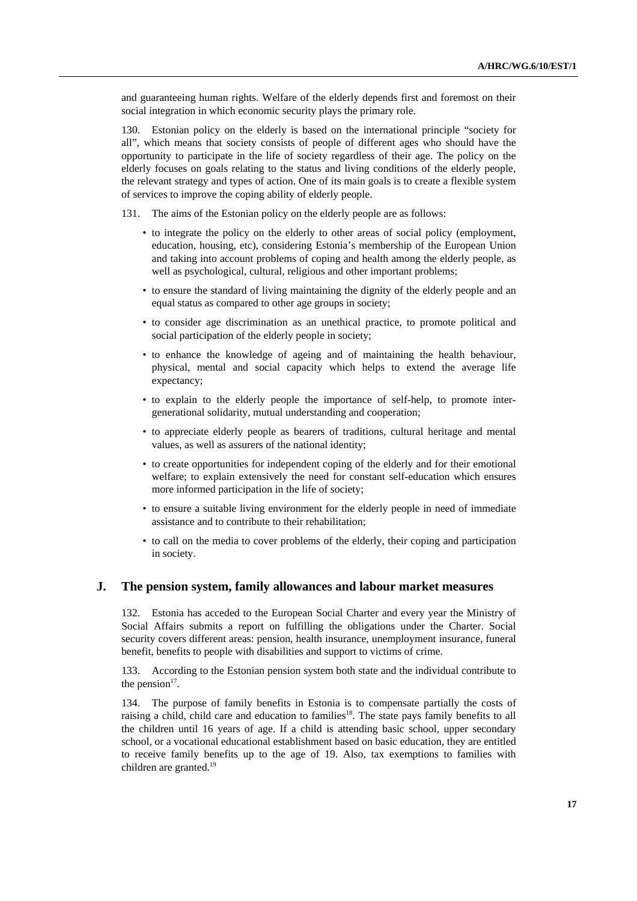and guaranteeing human rights. Welfare of the elderly depends first and foremost on their social integration in which economic security plays the primary role.

130. Estonian policy on the elderly is based on the international principle "society for all", which means that society consists of people of different ages who should have the opportunity to participate in the life of society regardless of their age. The policy on the elderly focuses on goals relating to the status and living conditions of the elderly people, the relevant strategy and types of action. One of its main goals is to create a flexible system of services to improve the coping ability of elderly people.

131. The aims of the Estonian policy on the elderly people are as follows:

- to integrate the policy on the elderly to other areas of social policy (employment, education, housing, etc), considering Estonia's membership of the European Union and taking into account problems of coping and health among the elderly people, as well as psychological, cultural, religious and other important problems;
- to ensure the standard of living maintaining the dignity of the elderly people and an equal status as compared to other age groups in society;
- to consider age discrimination as an unethical practice, to promote political and social participation of the elderly people in society;
- to enhance the knowledge of ageing and of maintaining the health behaviour, physical, mental and social capacity which helps to extend the average life expectancy;
- to explain to the elderly people the importance of self-help, to promote intergenerational solidarity, mutual understanding and cooperation;
- to appreciate elderly people as bearers of traditions, cultural heritage and mental values, as well as assurers of the national identity;
- to create opportunities for independent coping of the elderly and for their emotional welfare; to explain extensively the need for constant self-education which ensures more informed participation in the life of society;
- to ensure a suitable living environment for the elderly people in need of immediate assistance and to contribute to their rehabilitation;
- to call on the media to cover problems of the elderly, their coping and participation in society.

#### **J. The pension system, family allowances and labour market measures**

132. Estonia has acceded to the European Social Charter and every year the Ministry of Social Affairs submits a report on fulfilling the obligations under the Charter. Social security covers different areas: pension, health insurance, unemployment insurance, funeral benefit, benefits to people with disabilities and support to victims of crime.

133. According to the Estonian pension system both state and the individual contribute to the pension $17$ .

134. The purpose of family benefits in Estonia is to compensate partially the costs of raising a child, child care and education to families<sup>18</sup>. The state pays family benefits to all the children until 16 years of age. If a child is attending basic school, upper secondary school, or a vocational educational establishment based on basic education, they are entitled to receive family benefits up to the age of 19. Also, tax exemptions to families with children are granted.19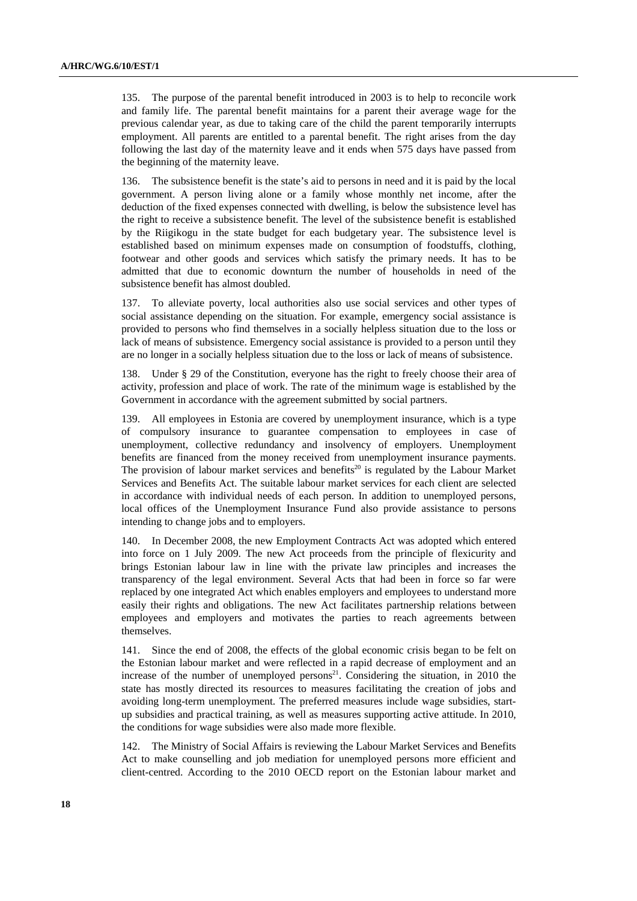135. The purpose of the parental benefit introduced in 2003 is to help to reconcile work and family life. The parental benefit maintains for a parent their average wage for the previous calendar year, as due to taking care of the child the parent temporarily interrupts employment. All parents are entitled to a parental benefit. The right arises from the day following the last day of the maternity leave and it ends when 575 days have passed from the beginning of the maternity leave.

136. The subsistence benefit is the state's aid to persons in need and it is paid by the local government. A person living alone or a family whose monthly net income, after the deduction of the fixed expenses connected with dwelling, is below the subsistence level has the right to receive a subsistence benefit. The level of the subsistence benefit is established by the Riigikogu in the state budget for each budgetary year. The subsistence level is established based on minimum expenses made on consumption of foodstuffs, clothing, footwear and other goods and services which satisfy the primary needs. It has to be admitted that due to economic downturn the number of households in need of the subsistence benefit has almost doubled.

137. To alleviate poverty, local authorities also use social services and other types of social assistance depending on the situation. For example, emergency social assistance is provided to persons who find themselves in a socially helpless situation due to the loss or lack of means of subsistence. Emergency social assistance is provided to a person until they are no longer in a socially helpless situation due to the loss or lack of means of subsistence.

138. Under § 29 of the Constitution, everyone has the right to freely choose their area of activity, profession and place of work. The rate of the minimum wage is established by the Government in accordance with the agreement submitted by social partners.

139. All employees in Estonia are covered by unemployment insurance, which is a type of compulsory insurance to guarantee compensation to employees in case of unemployment, collective redundancy and insolvency of employers. Unemployment benefits are financed from the money received from unemployment insurance payments. The provision of labour market services and benefits<sup>20</sup> is regulated by the Labour Market Services and Benefits Act. The suitable labour market services for each client are selected in accordance with individual needs of each person. In addition to unemployed persons, local offices of the Unemployment Insurance Fund also provide assistance to persons intending to change jobs and to employers.

140. In December 2008, the new Employment Contracts Act was adopted which entered into force on 1 July 2009. The new Act proceeds from the principle of flexicurity and brings Estonian labour law in line with the private law principles and increases the transparency of the legal environment. Several Acts that had been in force so far were replaced by one integrated Act which enables employers and employees to understand more easily their rights and obligations. The new Act facilitates partnership relations between employees and employers and motivates the parties to reach agreements between themselves.

141. Since the end of 2008, the effects of the global economic crisis began to be felt on the Estonian labour market and were reflected in a rapid decrease of employment and an increase of the number of unemployed persons<sup>21</sup>. Considering the situation, in 2010 the state has mostly directed its resources to measures facilitating the creation of jobs and avoiding long-term unemployment. The preferred measures include wage subsidies, startup subsidies and practical training, as well as measures supporting active attitude. In 2010, the conditions for wage subsidies were also made more flexible.

142. The Ministry of Social Affairs is reviewing the Labour Market Services and Benefits Act to make counselling and job mediation for unemployed persons more efficient and client-centred. According to the 2010 OECD report on the Estonian labour market and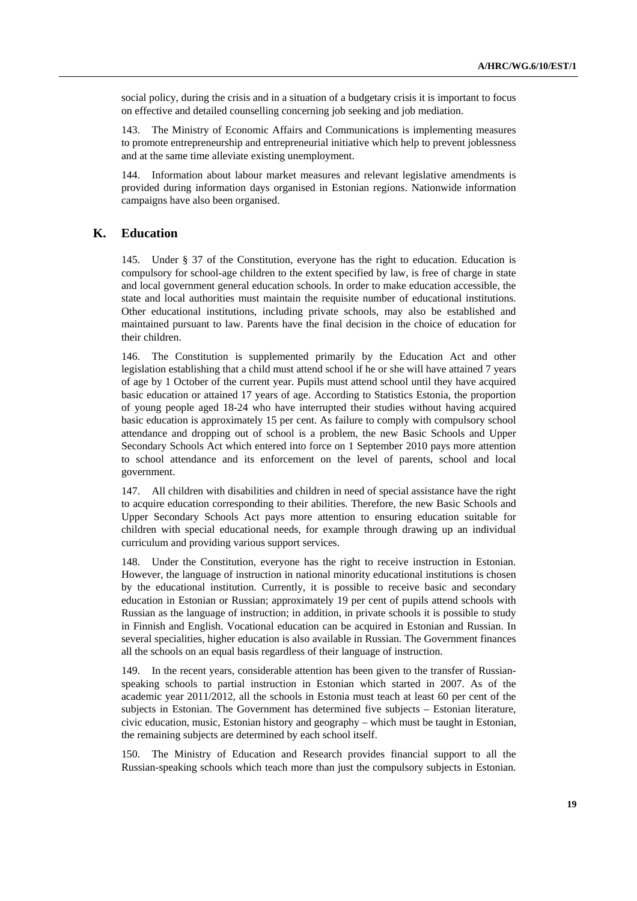social policy, during the crisis and in a situation of a budgetary crisis it is important to focus on effective and detailed counselling concerning job seeking and job mediation.

143. The Ministry of Economic Affairs and Communications is implementing measures to promote entrepreneurship and entrepreneurial initiative which help to prevent joblessness and at the same time alleviate existing unemployment.

144. Information about labour market measures and relevant legislative amendments is provided during information days organised in Estonian regions. Nationwide information campaigns have also been organised.

### **K. Education**

145. Under § 37 of the Constitution, everyone has the right to education. Education is compulsory for school-age children to the extent specified by law, is free of charge in state and local government general education schools. In order to make education accessible, the state and local authorities must maintain the requisite number of educational institutions. Other educational institutions, including private schools, may also be established and maintained pursuant to law. Parents have the final decision in the choice of education for their children.

146. The Constitution is supplemented primarily by the Education Act and other legislation establishing that a child must attend school if he or she will have attained 7 years of age by 1 October of the current year. Pupils must attend school until they have acquired basic education or attained 17 years of age. According to Statistics Estonia, the proportion of young people aged 18-24 who have interrupted their studies without having acquired basic education is approximately 15 per cent. As failure to comply with compulsory school attendance and dropping out of school is a problem, the new Basic Schools and Upper Secondary Schools Act which entered into force on 1 September 2010 pays more attention to school attendance and its enforcement on the level of parents, school and local government.

147. All children with disabilities and children in need of special assistance have the right to acquire education corresponding to their abilities. Therefore, the new Basic Schools and Upper Secondary Schools Act pays more attention to ensuring education suitable for children with special educational needs, for example through drawing up an individual curriculum and providing various support services.

148. Under the Constitution, everyone has the right to receive instruction in Estonian. However, the language of instruction in national minority educational institutions is chosen by the educational institution. Currently, it is possible to receive basic and secondary education in Estonian or Russian; approximately 19 per cent of pupils attend schools with Russian as the language of instruction; in addition, in private schools it is possible to study in Finnish and English. Vocational education can be acquired in Estonian and Russian. In several specialities, higher education is also available in Russian. The Government finances all the schools on an equal basis regardless of their language of instruction.

149. In the recent years, considerable attention has been given to the transfer of Russianspeaking schools to partial instruction in Estonian which started in 2007. As of the academic year 2011/2012, all the schools in Estonia must teach at least 60 per cent of the subjects in Estonian. The Government has determined five subjects – Estonian literature, civic education, music, Estonian history and geography – which must be taught in Estonian, the remaining subjects are determined by each school itself.

150. The Ministry of Education and Research provides financial support to all the Russian-speaking schools which teach more than just the compulsory subjects in Estonian.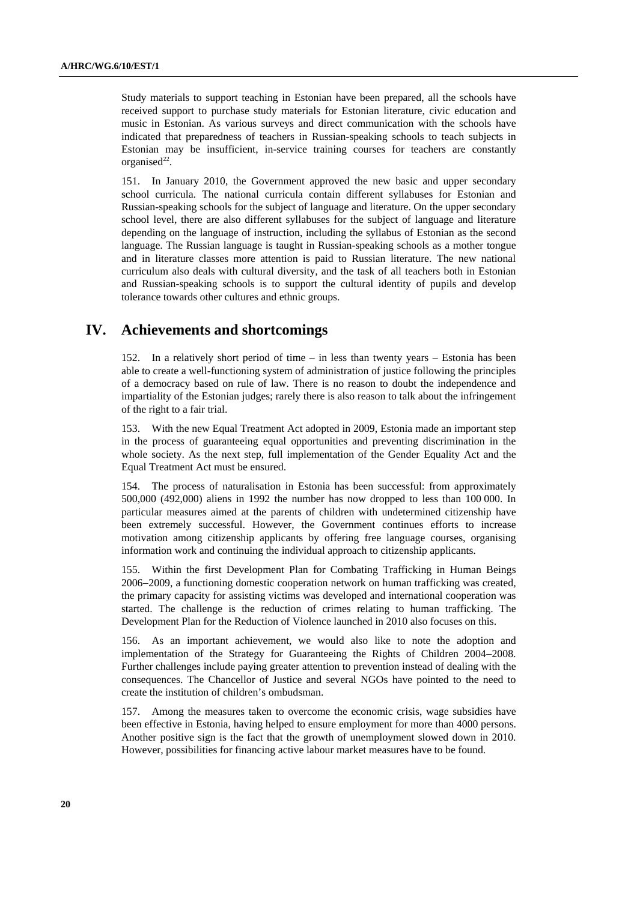Study materials to support teaching in Estonian have been prepared, all the schools have received support to purchase study materials for Estonian literature, civic education and music in Estonian. As various surveys and direct communication with the schools have indicated that preparedness of teachers in Russian-speaking schools to teach subjects in Estonian may be insufficient, in-service training courses for teachers are constantly organised $^{22}$ .

151. In January 2010, the Government approved the new basic and upper secondary school curricula. The national curricula contain different syllabuses for Estonian and Russian-speaking schools for the subject of language and literature. On the upper secondary school level, there are also different syllabuses for the subject of language and literature depending on the language of instruction, including the syllabus of Estonian as the second language. The Russian language is taught in Russian-speaking schools as a mother tongue and in literature classes more attention is paid to Russian literature. The new national curriculum also deals with cultural diversity, and the task of all teachers both in Estonian and Russian-speaking schools is to support the cultural identity of pupils and develop tolerance towards other cultures and ethnic groups.

## **IV. Achievements and shortcomings**

152. In a relatively short period of time – in less than twenty years – Estonia has been able to create a well-functioning system of administration of justice following the principles of a democracy based on rule of law. There is no reason to doubt the independence and impartiality of the Estonian judges; rarely there is also reason to talk about the infringement of the right to a fair trial.

153. With the new Equal Treatment Act adopted in 2009, Estonia made an important step in the process of guaranteeing equal opportunities and preventing discrimination in the whole society. As the next step, full implementation of the Gender Equality Act and the Equal Treatment Act must be ensured.

154. The process of naturalisation in Estonia has been successful: from approximately 500,000 (492,000) aliens in 1992 the number has now dropped to less than 100 000. In particular measures aimed at the parents of children with undetermined citizenship have been extremely successful. However, the Government continues efforts to increase motivation among citizenship applicants by offering free language courses, organising information work and continuing the individual approach to citizenship applicants.

155. Within the first Development Plan for Combating Trafficking in Human Beings 2006−2009, a functioning domestic cooperation network on human trafficking was created, the primary capacity for assisting victims was developed and international cooperation was started. The challenge is the reduction of crimes relating to human trafficking. The Development Plan for the Reduction of Violence launched in 2010 also focuses on this.

156. As an important achievement, we would also like to note the adoption and implementation of the Strategy for Guaranteeing the Rights of Children 2004−2008. Further challenges include paying greater attention to prevention instead of dealing with the consequences. The Chancellor of Justice and several NGOs have pointed to the need to create the institution of children's ombudsman.

157. Among the measures taken to overcome the economic crisis, wage subsidies have been effective in Estonia, having helped to ensure employment for more than 4000 persons. Another positive sign is the fact that the growth of unemployment slowed down in 2010. However, possibilities for financing active labour market measures have to be found.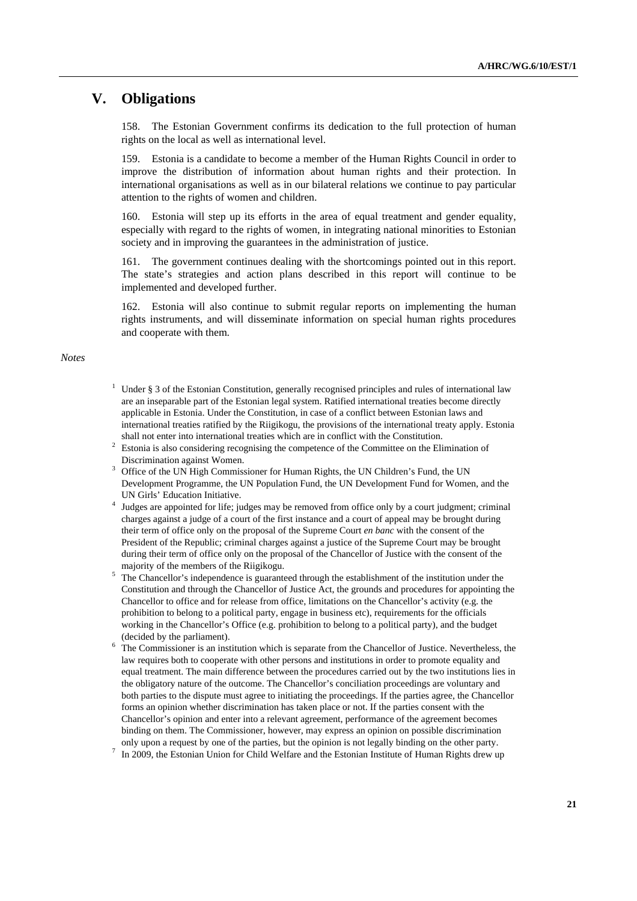## **V. Obligations**

158. The Estonian Government confirms its dedication to the full protection of human rights on the local as well as international level.

159. Estonia is a candidate to become a member of the Human Rights Council in order to improve the distribution of information about human rights and their protection. In international organisations as well as in our bilateral relations we continue to pay particular attention to the rights of women and children.

Estonia will step up its efforts in the area of equal treatment and gender equality, especially with regard to the rights of women, in integrating national minorities to Estonian society and in improving the guarantees in the administration of justice.

161. The government continues dealing with the shortcomings pointed out in this report. The state's strategies and action plans described in this report will continue to be implemented and developed further.

162. Estonia will also continue to submit regular reports on implementing the human rights instruments, and will disseminate information on special human rights procedures and cooperate with them.

*Notes* 

- <sup>1</sup> Under § 3 of the Estonian Constitution, generally recognised principles and rules of international law are an inseparable part of the Estonian legal system. Ratified international treaties become directly applicable in Estonia. Under the Constitution, in case of a conflict between Estonian laws and international treaties ratified by the Riigikogu, the provisions of the international treaty apply. Estonia shall not enter into international treaties which are in conflict with the Constitution.
- Estonia is also considering recognising the competence of the Committee on the Elimination of Discrimination against Women.
- <sup>3</sup> Office of the UN High Commissioner for Human Rights, the UN Children's Fund, the UN Development Programme, the UN Population Fund, the UN Development Fund for Women, and the UN Girls' Education Initiative. 4
- <sup>4</sup> Judges are appointed for life; judges may be removed from office only by a court judgment; criminal charges against a judge of a court of the first instance and a court of appeal may be brought during their term of office only on the proposal of the Supreme Court *en banc* with the consent of the President of the Republic; criminal charges against a justice of the Supreme Court may be brought during their term of office only on the proposal of the Chancellor of Justice with the consent of the majority of the members of the Riigikogu.<br>5. The Changellar's independence is queent.
- The Chancellor's independence is guaranteed through the establishment of the institution under the Constitution and through the Chancellor of Justice Act, the grounds and procedures for appointing the Chancellor to office and for release from office, limitations on the Chancellor's activity (e.g. the prohibition to belong to a political party, engage in business etc), requirements for the officials working in the Chancellor's Office (e.g. prohibition to belong to a political party), and the budget (decided by the parliament).
- $6$  The Commissioner is an institution which is separate from the Chancellor of Justice. Nevertheless, the law requires both to cooperate with other persons and institutions in order to promote equality and equal treatment. The main difference between the procedures carried out by the two institutions lies in the obligatory nature of the outcome. The Chancellor's conciliation proceedings are voluntary and both parties to the dispute must agree to initiating the proceedings. If the parties agree, the Chancellor forms an opinion whether discrimination has taken place or not. If the parties consent with the Chancellor's opinion and enter into a relevant agreement, performance of the agreement becomes binding on them. The Commissioner, however, may express an opinion on possible discrimination only upon a request by one of the parties, but the opinion is not legally binding on the other party.<br> $\frac{7}{12}$  In 2000, the Estonian Union for Child Walfare and the Estonian Institute of Human Pights draw up
- In 2009, the Estonian Union for Child Welfare and the Estonian Institute of Human Rights drew up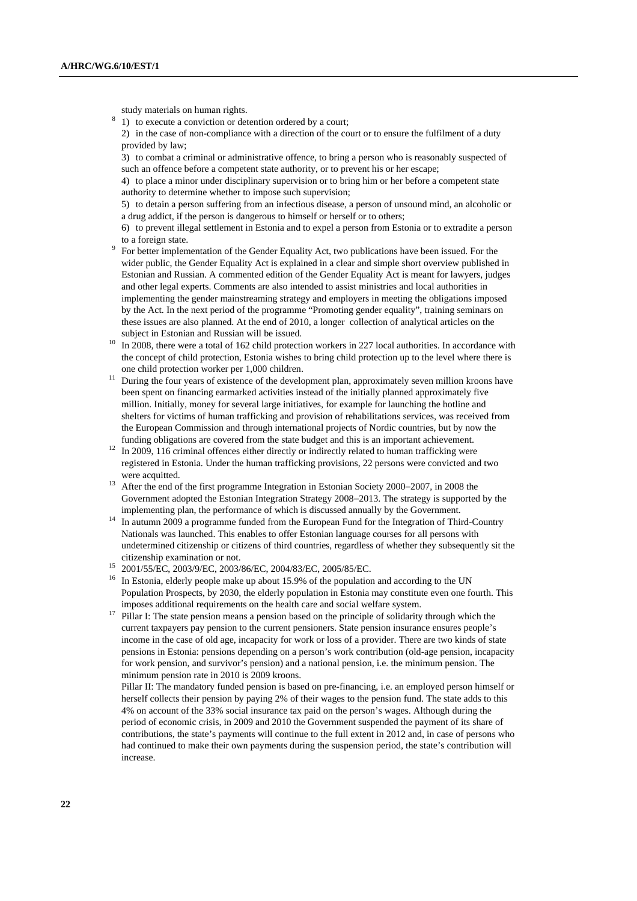study materials on human rights.

- $8<sup>8</sup>$  1) to execute a conviction or detention ordered by a court;
	- 2) in the case of non-compliance with a direction of the court or to ensure the fulfilment of a duty provided by law;

 3) to combat a criminal or administrative offence, to bring a person who is reasonably suspected of such an offence before a competent state authority, or to prevent his or her escape;

 4) to place a minor under disciplinary supervision or to bring him or her before a competent state authority to determine whether to impose such supervision;

 5) to detain a person suffering from an infectious disease, a person of unsound mind, an alcoholic or a drug addict, if the person is dangerous to himself or herself or to others;

 6) to prevent illegal settlement in Estonia and to expel a person from Estonia or to extradite a person to a foreign state.<br><sup>9</sup> For better implementation of the Gender Equality Act, two publications have been issued. For the

- wider public, the Gender Equality Act is explained in a clear and simple short overview published in Estonian and Russian. A commented edition of the Gender Equality Act is meant for lawyers, judges and other legal experts. Comments are also intended to assist ministries and local authorities in implementing the gender mainstreaming strategy and employers in meeting the obligations imposed by the Act. In the next period of the programme "Promoting gender equality", training seminars on these issues are also planned. At the end of 2010, a longer collection of analytical articles on the subject in Estonian and Russian will be issued.<br>In 2008, there were a total of 162 child protection workers in 227 local authorities. In accordance with
- the concept of child protection, Estonia wishes to bring child protection up to the level where there is
- one child protection worker per 1,000 children.<br>
<sup>11</sup> During the four years of existence of the development plan, approximately seven million kroons have been spent on financing earmarked activities instead of the initially planned approximately five million. Initially, money for several large initiatives, for example for launching the hotline and shelters for victims of human trafficking and provision of rehabilitations services, was received from the European Commission and through international projects of Nordic countries, but by now the
- funding obligations are covered from the state budget and this is an important achievement.<br><sup>12</sup> In 2009, 116 criminal offences either directly or indirectly related to human trafficking were registered in Estonia. Under the human trafficking provisions, 22 persons were convicted and two
- were acquitted. 13 After the end of the first programme Integration in Estonian Society 2000<sup>−</sup>2007, in 2008 the Government adopted the Estonian Integration Strategy 2008−2013. The strategy is supported by the
- implementing plan, the performance of which is discussed annually by the Government. 14 In autumn 2009 a programme funded from the European Fund for the Integration of Third-Country Nationals was launched. This enables to offer Estonian language courses for all persons with undetermined citizenship or citizens of third countries, regardless of whether they subsequently sit the citizenship examination or not. 15 2001/55/EC, 2003/9/EC, 2003/86/EC, 2004/83/EC, 2005/85/EC.
- 
- <sup>16</sup> In Estonia, elderly people make up about 15.9% of the population and according to the UN Population Prospects, by 2030, the elderly population in Estonia may constitute even one fourth. This
- imposes additional requirements on the health care and social welfare system. 17 Pillar I: The state pension means a pension based on the principle of solidarity through which the current taxpayers pay pension to the current pensioners. State pension insurance ensures people's income in the case of old age, incapacity for work or loss of a provider. There are two kinds of state pensions in Estonia: pensions depending on a person's work contribution (old-age pension, incapacity for work pension, and survivor's pension) and a national pension, i.e. the minimum pension. The minimum pension rate in 2010 is 2009 kroons.

 Pillar II: The mandatory funded pension is based on pre-financing, i.e. an employed person himself or herself collects their pension by paying 2% of their wages to the pension fund. The state adds to this 4% on account of the 33% social insurance tax paid on the person's wages. Although during the period of economic crisis, in 2009 and 2010 the Government suspended the payment of its share of contributions, the state's payments will continue to the full extent in 2012 and, in case of persons who had continued to make their own payments during the suspension period, the state's contribution will increase.